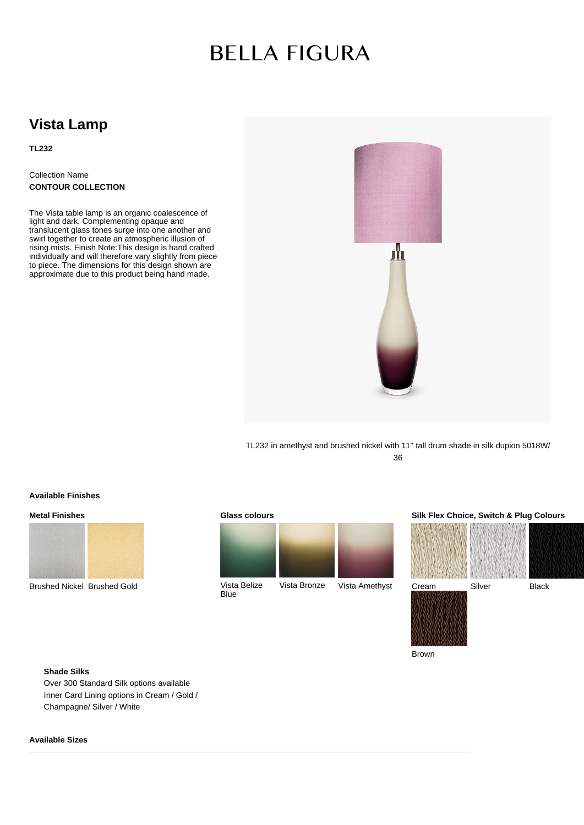# **BELLA FIGURA**

# **Vista Lamp**

**TL232**

Collection Name **CONTOUR COLLECTION**

The Vista table lamp is an organic coalescence of light and dark. Complementing opaque and translucent glass tones surge into one another and swirl together to create an atmospheric illusion of rising mists. Finish Note:This design is hand crafted individually and will therefore vary slightly from piece to piece. The dimensions for this design shown are approximate due to this product being hand made.



TL232 in amethyst and brushed nickel with 11'' tall drum shade in silk dupion 5018W/ 36

#### **Available Finishes**

## **Metal Finishes**



Brushed Nickel Brushed Gold

#### **Glass colours**



Vista Belize Blue



# **Silk Flex Choice, Switch & Plug Colours**



Brown

### **Shade Silks**

Over 300 Standard Silk options available Inner Card Lining options in Cream / Gold / Champagne/ Silver / White

### **Available Sizes**